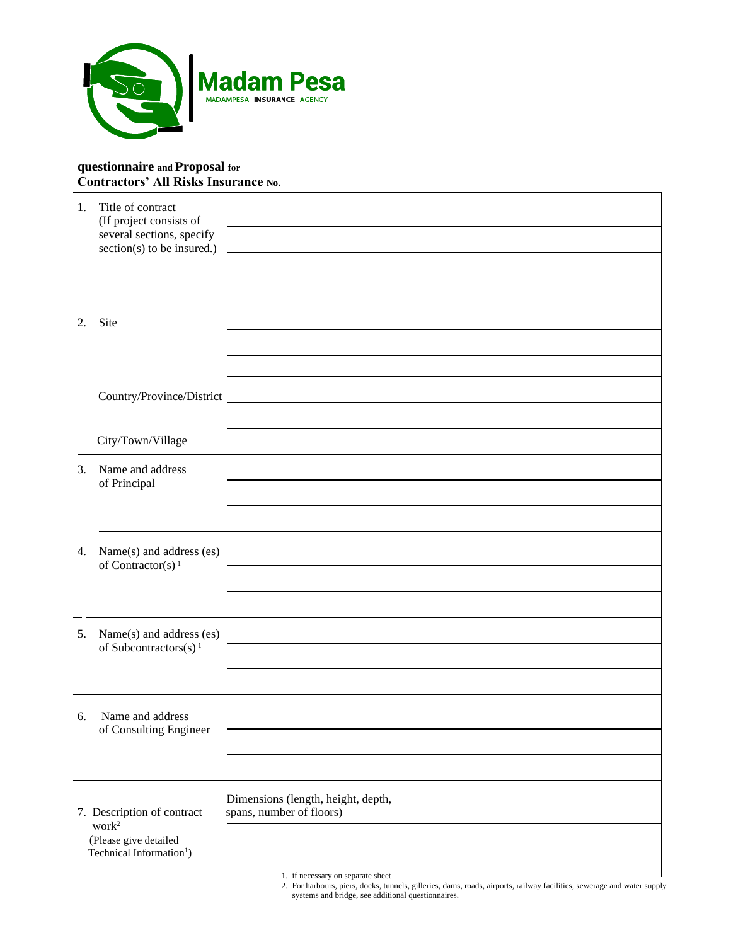

## **questionnaire and Proposal for Contractors' All Risks Insurance No.**

| 1.                                                                                                               | Title of contract<br>(If project consists of<br>several sections, specify |                                                                                                                            |
|------------------------------------------------------------------------------------------------------------------|---------------------------------------------------------------------------|----------------------------------------------------------------------------------------------------------------------------|
|                                                                                                                  | $section(s)$ to be insured.)                                              | <u>and the contract of the contract of the contract of the contract of the contract of the contract of the contract of</u> |
|                                                                                                                  |                                                                           |                                                                                                                            |
| 2.                                                                                                               | Site                                                                      |                                                                                                                            |
|                                                                                                                  |                                                                           |                                                                                                                            |
|                                                                                                                  |                                                                           |                                                                                                                            |
|                                                                                                                  |                                                                           |                                                                                                                            |
|                                                                                                                  | City/Town/Village                                                         |                                                                                                                            |
| 3.                                                                                                               | Name and address<br>of Principal                                          |                                                                                                                            |
|                                                                                                                  |                                                                           |                                                                                                                            |
| 4.                                                                                                               | Name(s) and address (es)<br>of Contractor(s) $1$                          |                                                                                                                            |
|                                                                                                                  |                                                                           |                                                                                                                            |
| 5.                                                                                                               | Name(s) and address (es)                                                  |                                                                                                                            |
|                                                                                                                  | of Subcontractors(s) <sup>1</sup>                                         |                                                                                                                            |
|                                                                                                                  |                                                                           |                                                                                                                            |
| 6.                                                                                                               | Name and address<br>of Consulting Engineer                                |                                                                                                                            |
|                                                                                                                  |                                                                           |                                                                                                                            |
|                                                                                                                  |                                                                           |                                                                                                                            |
| 7. Description of contract<br>work <sup>2</sup><br>(Please give detailed<br>Technical Information <sup>1</sup> ) |                                                                           | Dimensions (length, height, depth,<br>spans, number of floors)                                                             |
|                                                                                                                  |                                                                           |                                                                                                                            |
|                                                                                                                  |                                                                           | 1. if necessary on separate sheet                                                                                          |

2. For harbours, piers, docks, tunnels, gilleries, dams, roads, airports, railway facilities, sewerage and water supply systems and bridge, see additional questionnaires.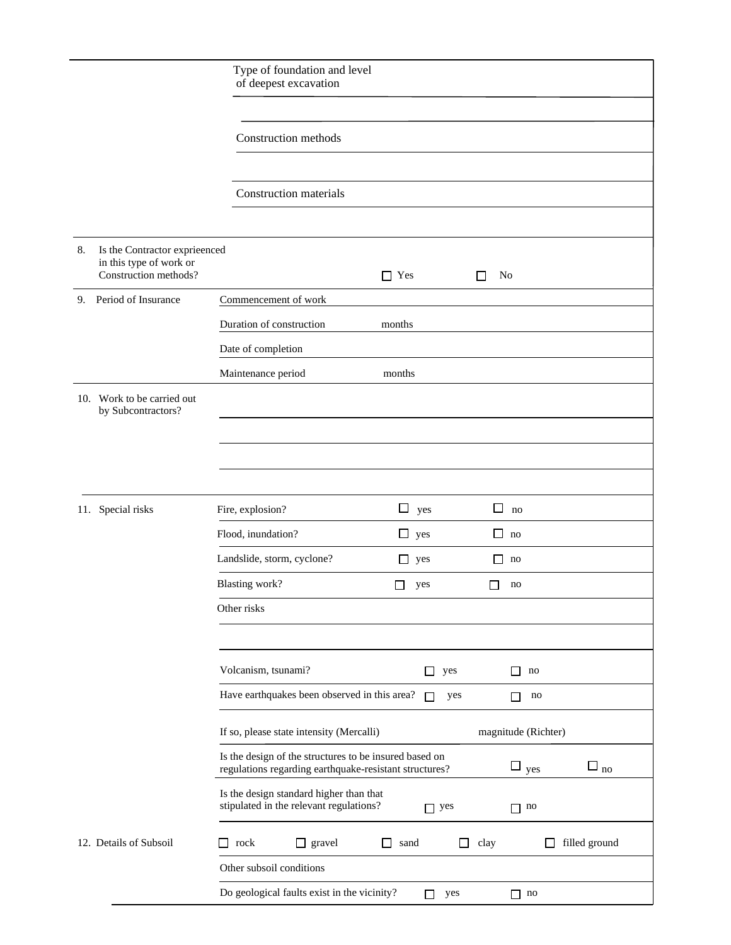|    |                                                                                   | Type of foundation and level<br>of deepest excavation                                                                                             |  |  |  |  |  |  |
|----|-----------------------------------------------------------------------------------|---------------------------------------------------------------------------------------------------------------------------------------------------|--|--|--|--|--|--|
|    |                                                                                   |                                                                                                                                                   |  |  |  |  |  |  |
|    |                                                                                   | Construction methods                                                                                                                              |  |  |  |  |  |  |
|    |                                                                                   |                                                                                                                                                   |  |  |  |  |  |  |
|    |                                                                                   | Construction materials                                                                                                                            |  |  |  |  |  |  |
|    |                                                                                   |                                                                                                                                                   |  |  |  |  |  |  |
| 8. | Is the Contractor exprieenced<br>in this type of work or<br>Construction methods? | $\Box$ Yes<br>No<br>ΙI                                                                                                                            |  |  |  |  |  |  |
| 9. | Period of Insurance                                                               | Commencement of work                                                                                                                              |  |  |  |  |  |  |
|    |                                                                                   | Duration of construction<br>months                                                                                                                |  |  |  |  |  |  |
|    |                                                                                   | Date of completion                                                                                                                                |  |  |  |  |  |  |
|    |                                                                                   | Maintenance period<br>months                                                                                                                      |  |  |  |  |  |  |
|    | 10. Work to be carried out<br>by Subcontractors?                                  |                                                                                                                                                   |  |  |  |  |  |  |
|    |                                                                                   |                                                                                                                                                   |  |  |  |  |  |  |
|    |                                                                                   |                                                                                                                                                   |  |  |  |  |  |  |
|    |                                                                                   |                                                                                                                                                   |  |  |  |  |  |  |
|    | 11. Special risks                                                                 | □<br>Fire, explosion?<br>$\Box$ yes<br>no                                                                                                         |  |  |  |  |  |  |
|    |                                                                                   | Flood, inundation?<br>$\Box$ yes<br>ப<br>no                                                                                                       |  |  |  |  |  |  |
|    |                                                                                   | Landslide, storm, cyclone?<br>Ш<br>yes<br>$\mathsf{L}$<br>no                                                                                      |  |  |  |  |  |  |
|    |                                                                                   | Blasting work?<br>yes<br>no                                                                                                                       |  |  |  |  |  |  |
|    |                                                                                   | Other risks                                                                                                                                       |  |  |  |  |  |  |
|    |                                                                                   |                                                                                                                                                   |  |  |  |  |  |  |
|    |                                                                                   | Volcanism, tsunami?<br>yes<br>П<br>no<br>$\Box$                                                                                                   |  |  |  |  |  |  |
|    |                                                                                   | Have earthquakes been observed in this area?<br>П<br>yes<br>$\mathbf{n}$<br>П                                                                     |  |  |  |  |  |  |
|    |                                                                                   | If so, please state intensity (Mercalli)<br>magnitude (Richter)                                                                                   |  |  |  |  |  |  |
|    |                                                                                   | Is the design of the structures to be insured based on<br>$\square$ no<br>$\square$ yes<br>regulations regarding earthquake-resistant structures? |  |  |  |  |  |  |
|    |                                                                                   | Is the design standard higher than that<br>stipulated in the relevant regulations?<br>$\Box$ yes<br>$\Box$ no                                     |  |  |  |  |  |  |
|    | 12. Details of Subsoil                                                            | $\Box$ gravel<br>filled ground<br>rock<br>sand<br>□<br>clay<br>$\Box$<br>ΙI<br>$\Box$                                                             |  |  |  |  |  |  |
|    |                                                                                   | Other subsoil conditions                                                                                                                          |  |  |  |  |  |  |
|    | Do geological faults exist in the vicinity?<br>yes<br>П<br>$\Box$ no              |                                                                                                                                                   |  |  |  |  |  |  |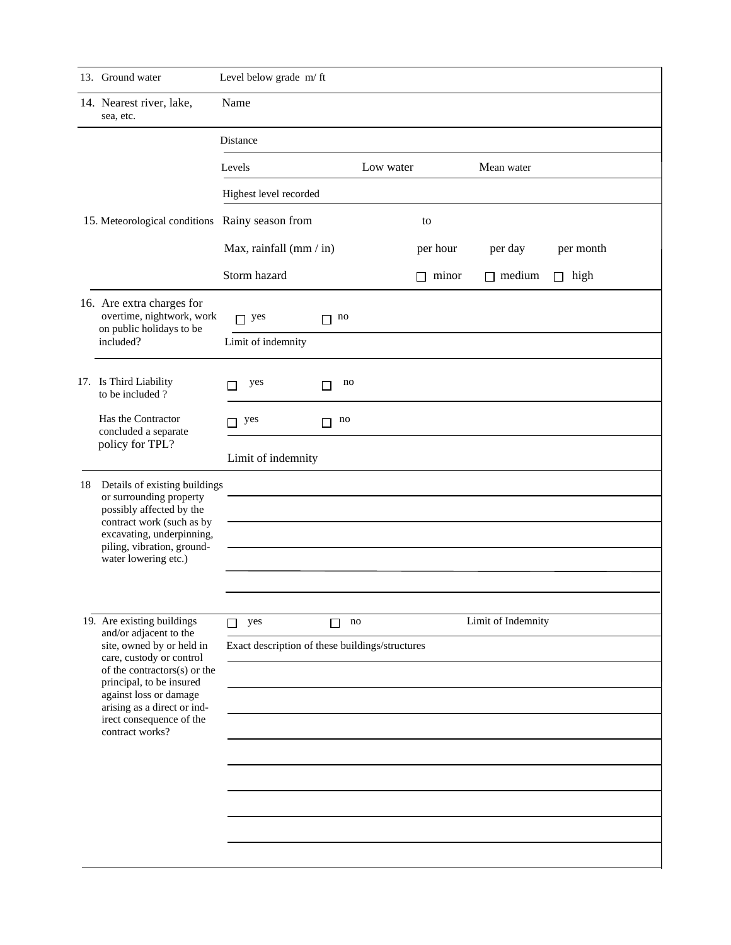|  | 13. Ground water                                                                                                                                                                                                          | Level below grade m/ft  |                                                 |              |                    |             |  |
|--|---------------------------------------------------------------------------------------------------------------------------------------------------------------------------------------------------------------------------|-------------------------|-------------------------------------------------|--------------|--------------------|-------------|--|
|  | 14. Nearest river, lake,<br>sea, etc.                                                                                                                                                                                     | Name                    |                                                 |              |                    |             |  |
|  |                                                                                                                                                                                                                           | Distance                |                                                 |              |                    |             |  |
|  | 15. Meteorological conditions Rainy season from                                                                                                                                                                           | Levels                  | Low water                                       |              | Mean water         |             |  |
|  |                                                                                                                                                                                                                           | Highest level recorded  |                                                 |              |                    |             |  |
|  |                                                                                                                                                                                                                           |                         |                                                 | to           |                    |             |  |
|  |                                                                                                                                                                                                                           | Max, rainfall (mm / in) |                                                 | per hour     | per day            | per month   |  |
|  |                                                                                                                                                                                                                           | Storm hazard            |                                                 | $\Box$ minor | $\Box$ medium      | $\Box$ high |  |
|  | 16. Are extra charges for<br>overtime, nightwork, work<br>on public holidays to be<br>included?                                                                                                                           | $\Box$ yes              | $\Box$ no                                       |              |                    |             |  |
|  |                                                                                                                                                                                                                           | Limit of indemnity      |                                                 |              |                    |             |  |
|  | 17. Is Third Liability<br>to be included?                                                                                                                                                                                 | yes<br>$\Box$           | $\Box$ no                                       |              |                    |             |  |
|  | Has the Contractor<br>concluded a separate                                                                                                                                                                                | $\Box$ yes              | $\Box$ no                                       |              |                    |             |  |
|  | policy for TPL?                                                                                                                                                                                                           | Limit of indemnity      |                                                 |              |                    |             |  |
|  | 18 Details of existing buildings<br>or surrounding property<br>possibly affected by the<br>contract work (such as by<br>excavating, underpinning,<br>piling, vibration, ground-<br>water lowering etc.)                   |                         |                                                 |              |                    |             |  |
|  | 19. Are existing buildings<br>and/or adjacent to the                                                                                                                                                                      | $\Box$ yes              | $\Box$ no                                       |              | Limit of Indemnity |             |  |
|  | site, owned by or held in<br>care, custody or control<br>of the contractors(s) or the<br>principal, to be insured<br>against loss or damage<br>arising as a direct or ind-<br>irect consequence of the<br>contract works? |                         | Exact description of these buildings/structures |              |                    |             |  |